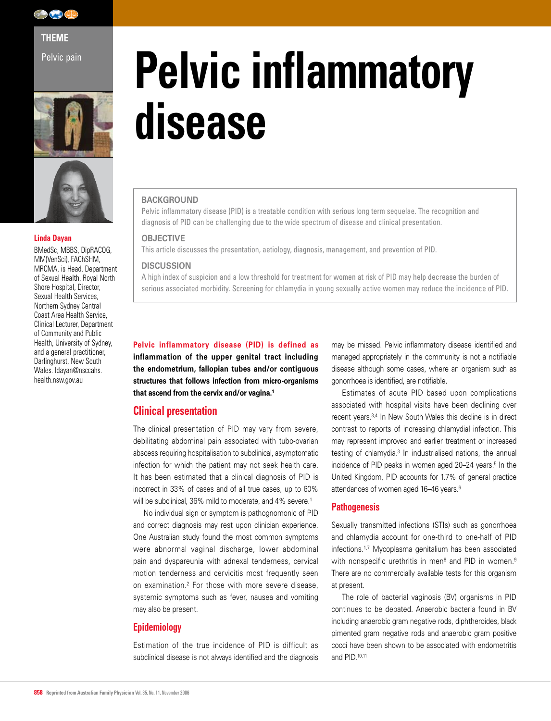

**THEME** 

Pelvic pain





#### **Linda Dayan**

BMedSc, MBBS, DipRACOG, MM(VenSci), FAChSHM, MRCMA, is Head, Department of Sexual Health, Royal North Shore Hospital, Director, Sexual Health Services, Northern Sydney Central Coast Area Health Service, Clinical Lecturer, Department of Community and Public Health, University of Sydney, and a general practitioner, Darlinghurst, New South Wales. ldayan@nsccahs. health.nsw.gov.au

# **Pelvic inflammatory disease**

# **BACKGROUND**

Pelvic inflammatory disease (PID) is a treatable condition with serious long term sequelae. The recognition and diagnosis of PID can be challenging due to the wide spectrum of disease and clinical presentation.

#### **OBJECTIVE**

This article discusses the presentation, aetiology, diagnosis, management, and prevention of PID.

#### **DISCUSSION**

A high index of suspicion and a low threshold for treatment for women at risk of PID may help decrease the burden of serious associated morbidity. Screening for chlamydia in young sexually active women may reduce the incidence of PID.

**Pelvic inflammatory disease (PID) is defined as inflammation of the upper genital tract including the endometrium, fallopian tubes and/or contiguous structures that follows infection from micro-organisms that ascend from the cervix and/or vagina.1**

# **Clinical presentation**

The clinical presentation of PID may vary from severe, debilitating abdominal pain associated with tubo-ovarian abscess requiring hospitalisation to subclinical, asymptomatic infection for which the patient may not seek health care. It has been estimated that a clinical diagnosis of PID is incorrect in 33% of cases and of all true cases, up to 60% will be subclinical, 36% mild to moderate, and 4% severe.<sup>1</sup>

No individual sign or symptom is pathognomonic of PID and correct diagnosis may rest upon clinician experience. One Australian study found the most common symptoms were abnormal vaginal discharge, lower abdominal pain and dyspareunia with adnexal tenderness, cervical motion tenderness and cervicitis most frequently seen on examination.2 For those with more severe disease, systemic symptoms such as fever, nausea and vomiting may also be present.

# **Epidemiology**

Estimation of the true incidence of PID is difficult as subclinical disease is not always identified and the diagnosis may be missed. Pelvic inflammatory disease identified and managed appropriately in the community is not a notifiable disease although some cases, where an organism such as gonorrhoea is identified, are notifiable.

Estimates of acute PID based upon complications associated with hospital visits have been declining over recent years.3,4 In New South Wales this decline is in direct contrast to reports of increasing chlamydial infection. This may represent improved and earlier treatment or increased testing of chlamydia.3 In industrialised nations, the annual incidence of PID peaks in women aged 20–24 years.<sup>5</sup> In the United Kingdom, PID accounts for 1.7% of general practice attendances of women aged 16-46 years.<sup>6</sup>

# **Pathogenesis**

Sexually transmitted infections (STIs) such as gonorrhoea and chlamydia account for one-third to one-half of PID infections.1,7 Mycoplasma genitalium has been associated with nonspecific urethritis in men<sup>8</sup> and PID in women.<sup>9</sup> There are no commercially available tests for this organism at present.

The role of bacterial vaginosis (BV) organisms in PID continues to be debated. Anaerobic bacteria found in BV including anaerobic gram negative rods, diphtheroides, black pimented gram negative rods and anaerobic gram positive cocci have been shown to be associated with endometritis and PID.10,11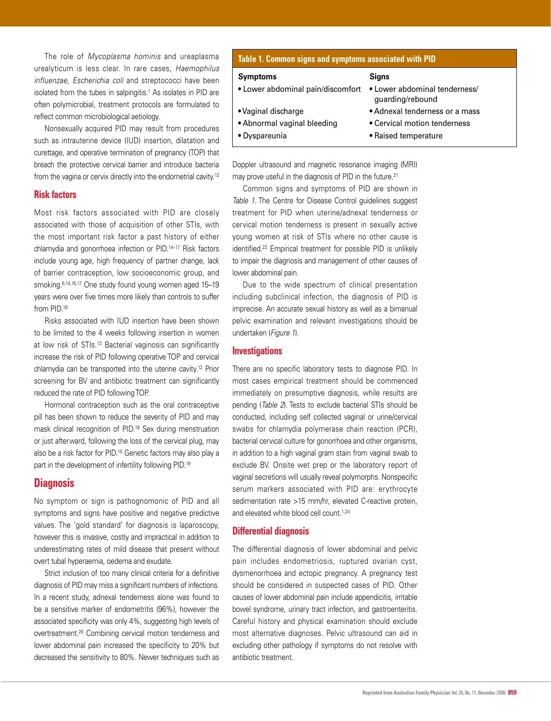The role of *Mycoplasma hominis* and ureaplasma urealyticum is less clear. In rare cases, *Haemophilus influenzae*, *Escherichia coli* and streptococci have been isolated from the tubes in salpingitis.<sup>1</sup> As isolates in PID are often polymicrobial, treatment protocols are formulated to reflect common microbiological aetiology.

Nonsexually acquired PID may result from procedures such as intrauterine device (IUD) insertion, dilatation and curettage, and operative termination of pregnancy (TOP) that breach the protective cervical barrier and introduce bacteria from the vagina or cervix directly into the endometrial cavity.12

## **Risk factors**

Most risk factors associated with PID are closely associated with those of acquisition of other STIs, with the most important risk factor a past history of either chlamydia and gonorrhoea infection or PID.14–17 Risk factors include young age, high frequency of partner change, lack of barrier contraception, low socioeconomic group, and smoking.6,14,16,17 One study found young women aged 15–19 years were over five times more likely than controls to suffer from PID.16

Risks associated with IUD insertion have been shown to be limited to the 4 weeks following insertion in women at low risk of STIs.13 Bacterial vaginosis can significantly increase the risk of PID following operative TOP and cervical chlamydia can be transported into the uterine cavity.12 Prior screening for BV and antibiotic treatment can significantly reduced the rate of PID following TOP.

Hormonal contraception such as the oral contraceptive pill has been shown to reduce the severity of PID and may mask clinical recognition of PID.18 Sex during menstruation or just afterward, following the loss of the cervical plug, may also be a risk factor for PID.15 Genetic factors may also play a part in the development of infertility following PID.<sup>19</sup>

# **Diagnosis**

No symptom or sign is pathognomonic of PID and all symptoms and signs have positive and negative predictive values. The 'gold standard' for diagnosis is laparoscopy, however this is invasive, costly and impractical in addition to underestimating rates of mild disease that present without overt tubal hyperaemia, oedema and exudate.

Strict inclusion of too many clinical criteria for a definitive diagnosis of PID may miss a significant numbers of infections. In a recent study, adnexal tenderness alone was found to be a sensitive marker of endometritis (96%), however the associated specificity was only 4%, suggesting high levels of overtreatment.20 Combining cervical motion tenderness and lower abdominal pain increased the specificity to 20% but decreased the sensitivity to 80%. Newer techniques such as

# **Table 1. Common signs and symptoms associated with PID**

#### **Symptoms Signs**

- Lower abdominal pain/discomfort Lower abdominal tenderness/ guarding/rebound • Vaginal discharge • Adnexal tenderness or a mass • Abnormal vaginal bleeding • Cervical motion tenderness
- Dyspareunia **Raised temperature**

Doppler ultrasound and magnetic resonance imaging (MRI) may prove useful in the diagnosis of PID in the future.<sup>21</sup>

Common signs and symptoms of PID are shown in *Table 1*. The Centre for Disease Control guidelines suggest treatment for PID when uterine/adnexal tenderness or cervical motion tenderness is present in sexually active young women at risk of STIs where no other cause is identified.<sup>22</sup> Empirical treatment for possible PID is unlikely to impair the diagnosis and management of other causes of lower abdominal pain.

Due to the wide spectrum of clinical presentation including subclinical infection, the diagnosis of PID is imprecise. An accurate sexual history as well as a bimanual pelvic examination and relevant investigations should be undertaken (*Figure 1*).

# **Investigations**

There are no specific laboratory tests to diagnose PID. In most cases empirical treatment should be commenced immediately on presumptive diagnosis, while results are pending (*Table 2*). Tests to exclude bacterial STIs should be conducted, including self collected vaginal or urine/cervical swabs for chlamydia polymerase chain reaction (PCR), bacterial cervical culture for gonorrhoea and other organisms, in addition to a high vaginal gram stain from vaginal swab to exclude BV. Onsite wet prep or the laboratory report of vaginal secretions will usually reveal polymorphs. Nonspecific serum markers associated with PID are: erythrocyte sedimentation rate >15 mm/hr, elevated C-reactive protein, and elevated white blood cell count.<sup>1,24</sup>

## **Differential diagnosis**

The differential diagnosis of lower abdominal and pelvic pain includes endometriosis, ruptured ovarian cyst, dysmenorrhoea and ectopic pregnancy. A pregnancy test should be considered in suspected cases of PID. Other causes of lower abdominal pain include appendicitis, irritable bowel syndrome, urinary tract infection, and gastroenteritis. Careful history and physical examination should exclude most alternative diagnoses. Pelvic ultrasound can aid in excluding other pathology if symptoms do not resolve with antibiotic treatment.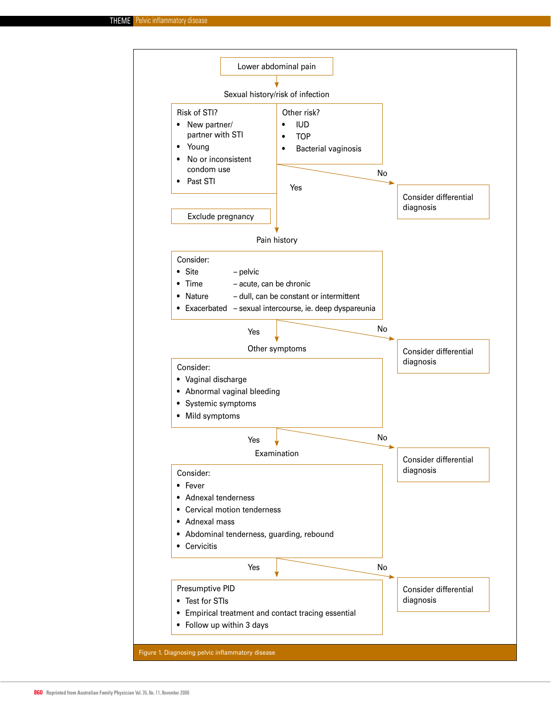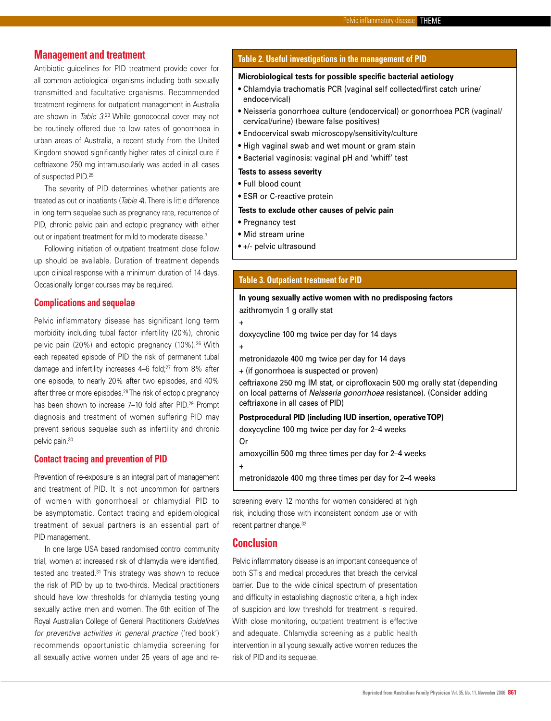# **Management and treatment**

Antibiotic guidelines for PID treatment provide cover for all common aetiological organisms including both sexually transmitted and facultative organisms. Recommended treatment regimens for outpatient management in Australia are shown in *Table 3*. 23 While gonococcal cover may not be routinely offered due to low rates of gonorrhoea in urban areas of Australia, a recent study from the United Kingdom showed significantly higher rates of clinical cure if ceftriaxone 250 mg intramuscularly was added in all cases of suspected PID.25

The severity of PID determines whether patients are treated as out or inpatients (*Table 4*). There is little difference in long term sequelae such as pregnancy rate, recurrence of PID, chronic pelvic pain and ectopic pregnancy with either out or inpatient treatment for mild to moderate disease.7

Following initiation of outpatient treatment close follow up should be available. Duration of treatment depends upon clinical response with a minimum duration of 14 days. Occasionally longer courses may be required.

# **Complications and sequelae**

Pelvic inflammatory disease has significant long term morbidity including tubal factor infertility (20%), chronic pelvic pain (20%) and ectopic pregnancy (10%).26 With each repeated episode of PID the risk of permanent tubal damage and infertility increases 4-6 fold;<sup>27</sup> from 8% after one episode, to nearly 20% after two episodes, and 40% after three or more episodes.<sup>28</sup> The risk of ectopic pregnancy has been shown to increase 7-10 fold after PID.<sup>29</sup> Prompt diagnosis and treatment of women suffering PID may prevent serious sequelae such as infertility and chronic pelvic pain.30

#### **Contact tracing and prevention of PID**

Prevention of re-exposure is an integral part of management and treatment of PID. It is not uncommon for partners of women with gonorrhoeal or chlamydial PID to be asymptomatic. Contact tracing and epidemiological treatment of sexual partners is an essential part of PID management.

In one large USA based randomised control community trial, women at increased risk of chlamydia were identified, tested and treated.31 This strategy was shown to reduce the risk of PID by up to two-thirds. Medical practitioners should have low thresholds for chlamydia testing young sexually active men and women. The 6th edition of The Royal Australian College of General Practitioners *Guidelines for preventive activities in general practice* ('red book') recommends opportunistic chlamydia screening for all sexually active women under 25 years of age and re-

# **Table 2. Useful investigations in the management of PID**

#### **Microbiological tests for possible specific bacterial aetiology**

- Chlamdyia trachomatis PCR (vaginal self collected/first catch urine/ endocervical)
- Neisseria gonorrhoea culture (endocervical) or gonorrhoea PCR (vaginal/ cervical/urine) (beware false positives)
- Endocervical swab microscopy/sensitivity/culture
- High vaginal swab and wet mount or gram stain
- Bacterial vaginosis: vaginal pH and 'whiff' test

## **Tests to assess severity**

- Full blood count
- ESR or C-reactive protein

# **Tests to exclude other causes of pelvic pain**

- Pregnancy test
- Mid stream urine
- +/- pelvic ultrasound

# **Table 3. Outpatient treatment for PID**

# **In young sexually active women with no predisposing factors** azithromycin 1 g orally stat

+

doxycycline 100 mg twice per day for 14 days

+

metronidazole 400 mg twice per day for 14 days

+ (if gonorrhoea is suspected or proven)

ceftriaxone 250 mg IM stat, or ciprofloxacin 500 mg orally stat (depending on local patterns of Neisseria gonorrhoea resistance). (Consider adding ceftriaxone in all cases of PID)

#### **Postprocedural PID (including IUD insertion, operative TOP)**

doxycycline 100 mg twice per day for 2–4 weeks

Or

+

amoxycillin 500 mg three times per day for 2–4 weeks

metronidazole 400 mg three times per day for 2–4 weeks

screening every 12 months for women considered at high risk, including those with inconsistent condom use or with recent partner change.<sup>32</sup>

# **Conclusion**

Pelvic inflammatory disease is an important consequence of both STIs and medical procedures that breach the cervical barrier. Due to the wide clinical spectrum of presentation and difficulty in establishing diagnostic criteria, a high index of suspicion and low threshold for treatment is required. With close monitoring, outpatient treatment is effective and adequate. Chlamydia screening as a public health intervention in all young sexually active women reduces the risk of PID and its sequelae.